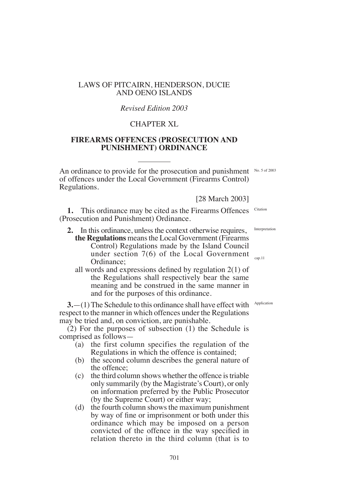# LAWS OF PITCAIRN, HENDERSON, DUCIE AND OENO ISLANDS

### *Revised Edition 2003*

# CHAPTER XL

# **FIREARMS OFFENCES (PROSECUTION AND PUNISHMENT) ORDINANCE**

An ordinance to provide for the prosecution and punishment No. 5 of 2003 of offences under the Local Government (Firearms Control) Regulations.

[28 March 2003]

**1.** This ordinance may be cited as the Firearms Offences (Prosecution and Punishment) Ordinance. Citation

- **2.** In this ordinance, unless the context otherwise requires, **the Regulations** means the Local Government (Firearms Control) Regulations made by the Island Council under section 7(6) of the Local Government Ordinance;
	- all words and expressions defined by regulation  $2(1)$  of the Regulations shall respectively bear the same meaning and be construed in the same manner in and for the purposes of this ordinance.

**3.**  $-(1)$  The Schedule to this ordinance shall have effect with Application respect to the manner in which offences under the Regulations may be tried and, on conviction, are punishable.

(2) For the purposes of subsection (1) the Schedule is comprised as follows—

- (a) the first column specifies the regulation of the Regulations in which the offence is contained;
- (b) the second column describes the general nature of the offence;
- (c) the third column shows whether the offence is triable only summarily (by the Magistrate's Court), or only on information preferred by the Public Prosecutor (by the Supreme Court) or either way;
- (d) the fourth column shows the maximum punishment by way of fine or imprisonment or both under this ordinance which may be imposed on a person convicted of the offence in the way specified in relation thereto in the third column (that is to

Interpretation

cap.11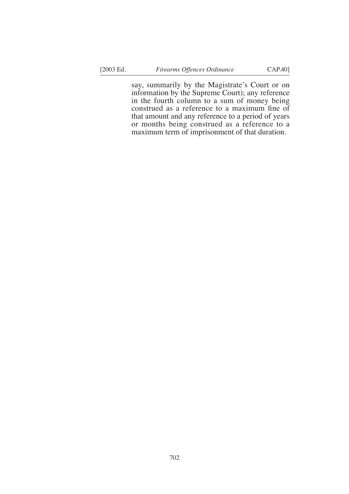say, summarily by the Magistrate's Court or on information by the Supreme Court); any reference in the fourth column to a sum of money being construed as a reference to a maximum fine of that amount and any reference to a period of years or months being construed as a reference to a maximum term of imprisonment of that duration.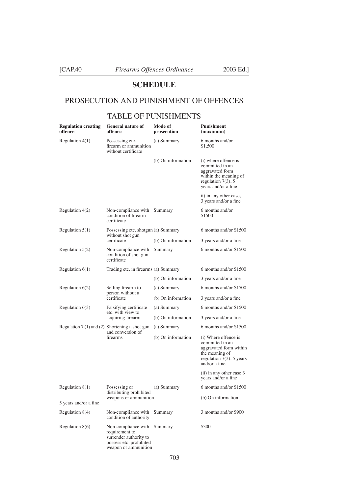[CAP.40 *Firearms Offences Ordinance* 2003 Ed.]

# **SCHEDULE**

# PROSECUTION AND PUNISHMENT OF OFFENCES

### TABLE OF PUNISHMENTS

| <b>Regulation creating</b><br>offence          | <b>General nature of</b><br>offence                                                                                | Mode of<br>prosecution | Punishment<br>(maximum)                                                                                                             |
|------------------------------------------------|--------------------------------------------------------------------------------------------------------------------|------------------------|-------------------------------------------------------------------------------------------------------------------------------------|
| Regulation $4(1)$                              | Possessing etc.<br>firearm or ammunition<br>without certificate                                                    | (a) Summary            | 6 months and/or<br>\$1,500                                                                                                          |
|                                                |                                                                                                                    | (b) On information     | (i) where offence is<br>committed in an<br>aggravated form<br>within the meaning of<br>regulation $7(3)$ , 5<br>years and/or a fine |
|                                                |                                                                                                                    |                        | ii) in any other case,<br>3 years and/or a fine                                                                                     |
| Regulation $4(2)$                              | Non-compliance with<br>condition of firearm<br>certificate                                                         | Summary                | 6 months and/or<br>\$1500                                                                                                           |
| Regulation $5(1)$                              | Possessing etc. shotgun (a) Summary<br>without shot gun<br>certificate                                             |                        | 6 months and/or \$1500                                                                                                              |
|                                                |                                                                                                                    | (b) On information     | 3 years and/or a fine                                                                                                               |
| Regulation $5(2)$                              | Non-compliance with<br>condition of shot gun<br>certificate                                                        | Summary                | 6 months and/or \$1500                                                                                                              |
| Regulation $6(1)$                              | Trading etc. in firearms (a) Summary                                                                               |                        | 6 months and/or \$1500                                                                                                              |
|                                                |                                                                                                                    | (b) On information     | 3 years and/or a fine                                                                                                               |
| Regulation $6(2)$                              | Selling firearm to<br>person without a<br>certificate                                                              | (a) Summary            | 6 months and/or \$1500                                                                                                              |
|                                                |                                                                                                                    | (b) On information     | 3 years and/or a fine                                                                                                               |
| Regulation $6(3)$                              | Falsifying certificate<br>etc. with view to<br>acquiring firearm                                                   | (a) Summary            | 6 months and/or \$1500                                                                                                              |
|                                                |                                                                                                                    | (b) On information     | 3 years and/or a fine                                                                                                               |
| Regulation 7 (1) and (2) Shortening a shot gun | and conversion of<br>firearms                                                                                      | (a) Summary            | 6 months and/or \$1500                                                                                                              |
|                                                |                                                                                                                    | (b) On information     | (i) Where offence is<br>committed in an<br>aggravated form within<br>the meaning of<br>regulation $7(3)$ , 5 years<br>and/or a fine |
|                                                |                                                                                                                    |                        | (ii) in any other case 3<br>years and/or a fine                                                                                     |
| Regulation $8(1)$                              | Possessing or<br>distributing prohibited                                                                           | (a) Summary            | 6 months and/or \$1500                                                                                                              |
| 5 years and/or a fine                          | weapons or ammunition                                                                                              |                        | (b) On information                                                                                                                  |
| Regulation $8(4)$                              | Non-compliance with                                                                                                | Summary                | 3 months and/or \$900                                                                                                               |
|                                                | condition of authority                                                                                             |                        |                                                                                                                                     |
| Regulation $8(6)$                              | Non-compliance with<br>requirement to<br>surrender authority to<br>possess etc. prohibited<br>weapon or ammunition | Summary                | \$300                                                                                                                               |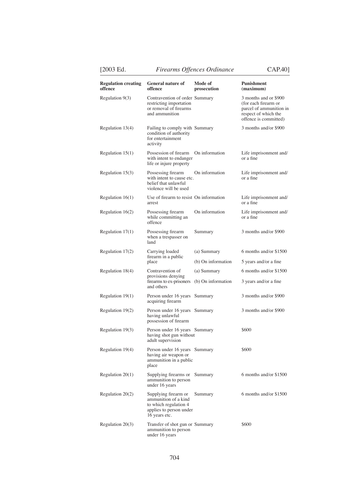|  | V. |  |
|--|----|--|

[2003 Ed. *Firearms Offences Ordinance* CAP.40]

| <b>Regulation creating</b><br>offence | <b>General nature of</b><br>offence                                                                               | Mode of<br>prosecution | Punishment<br>(maximum)                                                                                                   |
|---------------------------------------|-------------------------------------------------------------------------------------------------------------------|------------------------|---------------------------------------------------------------------------------------------------------------------------|
| Regulation $9(3)$                     | Contravention of order Summary<br>restricting importation<br>or removal of firearms<br>and ammunition             |                        | 3 months and or \$900<br>(for each firearm or<br>parcel of ammunition in<br>respect of which the<br>offence is committed) |
| Regulation $13(4)$                    | Failing to comply with Summary<br>condition of authority<br>for entertainment<br>activity                         |                        | 3 months and/or \$900                                                                                                     |
| Regulation $15(1)$                    | Possession of firearm<br>with intent to endanger<br>life or injure property                                       | On information         | Life imprisonment and/<br>or a fine                                                                                       |
| Regulation 15(3)                      | Possessing firearm<br>with intent to cause etc.<br>belief that unlawful<br>violence will be used                  | On information         | Life imprisonment and/<br>or a fine                                                                                       |
| Regulation $16(1)$                    | Use of firearm to resist On information<br>arrest                                                                 |                        | Life imprisonment and/<br>or a fine                                                                                       |
| Regulation $16(2)$                    | Possessing firearm<br>while committing an<br>offence                                                              | On information         | Life imprisonment and/<br>or a fine                                                                                       |
| Regulation $17(1)$                    | Possessing firearm<br>when a trespasser on<br>land                                                                | Summary                | 3 months and/or \$900                                                                                                     |
| Regulation 17(2)                      | Carrying loaded<br>firearm in a public<br>place                                                                   | (a) Summary            | 6 months and/or \$1500                                                                                                    |
|                                       |                                                                                                                   | (b) On information     | 5 years and/or a fine                                                                                                     |
| Regulation 18(4)                      | Contravention of<br>provisions denying<br>firearms to ex-prisoners<br>and others                                  | (a) Summary            | 6 months and/or \$1500                                                                                                    |
|                                       |                                                                                                                   | (b) On information     | 3 years and/or a fine                                                                                                     |
| Regulation $19(1)$                    | Person under 16 years Summary<br>acquiring firearm                                                                |                        | 3 months and/or \$900                                                                                                     |
| Regulation 19(2)                      | Person under 16 years Summary<br>having unlawful<br>possession of firearm                                         |                        | 3 months and/or \$900                                                                                                     |
| Regulation 19(3)                      | Person under 16 years Summary<br>having shot gun without<br>adult supervision                                     |                        | \$600                                                                                                                     |
| Regulation 19(4)                      | Person under 16 years Summary<br>having air weapon or<br>ammunition in a public<br>place                          |                        | \$600                                                                                                                     |
| Regulation $20(1)$                    | Supplying firearms or Summary<br>ammunition to person<br>under 16 years                                           |                        | 6 months and/or \$1500                                                                                                    |
| Regulation $20(2)$                    | Supplying firearm or<br>ammunition of a kind<br>to which regulation 4<br>applies to person under<br>16 years etc. | Summary                | 6 months and/or \$1500                                                                                                    |
| Regulation $20(3)$                    | Transfer of shot gun or Summary<br>ammunition to person<br>under 16 years                                         |                        | \$600                                                                                                                     |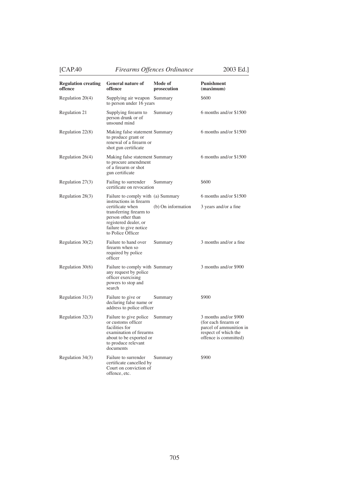[CAP.40 *Firearms Offences Ordinance* 2003 Ed.]

**Regulation creating General nature of Mode of Punishment offence offence prosecution (maximum)**  Regulation 20(4) Supplying air weapon Summary \$600 to person under 16 years Regulation 21 Supplying firearm to Summary 6 months and/or \$1500 person drunk or of unsound mind Regulation 22(8) Making false statement Summary 6 months and/or \$1500 to produce grant or renewal of a firearm or shot gun certificate Regulation 26(4) Making false statement Summary 6 months and/or \$1500 to procure amendment of a firearm or shot gun certificate Regulation 27(3) Failing to surrender Summary \$600 certifcate on revocation Regulation 28(3) Failure to comply with (a) Summary 6 months and/or \$1500 instructions in firearm certificate when (b) On information  $\frac{3 \text{ years}}{2}$  and/or a fine transferring firearm to person other than registered dealer, or failure to give notice to Police Officer Regulation  $30(2)$  Failure to hand over Summary 3 months and/or a fine firearm when so required by police officer Regulation 30(6) Failure to comply with Summary 3 months and/or \$900 any request by police officer exercising powers to stop and search declaring false name or address to police officer

Regulation 31(3) Failure to give or Summary \$900 Regulation 32(3) Failure to give police Summary 3 months and/or \$900 or customs officer (for each firearm or<br>facilities for parcel of ammunities

parcel of ammunition in<br>respect of which the examination of firearms respect of which the about to be exported or  $\omega$  offence is committed) about to be exported or to produce relevant documents Regulation 34(3) Failure to surrender Summary \$900 certificate cancelled by Court on conviction of

offence, etc.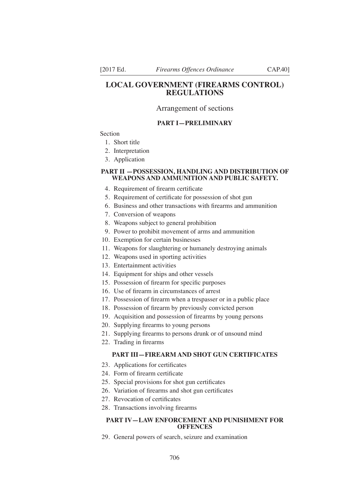### **LOCAL GOVERNMENT (FIREARMS CONTROL) REGULATIONS**

#### Arrangement of sections

#### **PART I—PRELIMINARY**

Section

- 1. Short title
- 2. Interpretation
- 3. Application

#### **PART II —POSSESSION, HANDLING AND DISTRIBUTION OF WEAPONS AND AMMUNITION AND PUBLIC SAFETY.**

- 4. Requirement of firearm certificate
- 5. Requirement of certificate for possession of shot gun
- 6. Business and other transactions with firearms and ammunition
- 7. Conversion of weapons
- 8. Weapons subject to general prohibition
- 9. Power to prohibit movement of arms and ammunition
- 10. Exemption for certain businesses
- 11. Weapons for slaughtering or humanely destroying animals
- 12. Weapons used in sporting activities
- 13. Entertainment activities
- 14. Equipment for ships and other vessels
- 15. Possession of firearm for specific purposes
- 16. Use of firearm in circumstances of arrest
- 17. Possession of firearm when a trespasser or in a public place
- 18. Possession of firearm by previously convicted person
- 19. Acquisition and possession of firearms by young persons
- 20. Supplying firearms to young persons
- 21. Supplying firearms to persons drunk or of unsound mind
- 22. Trading in firearms

#### **PART III—FIREARM AND SHOT GUN CERTIFICATES**

- 23. Applications for certificates
- 24. Form of firearm certificate
- 25. Special provisions for shot gun certificates
- 26. Variation of firearms and shot gun certificates
- 27. Revocation of certificates
- 28. Transactions involving firearms

#### **PART IV—LAW ENFORCEMENT AND PUNISHMENT FOR OFFENCES**

29. General powers of search, seizure and examination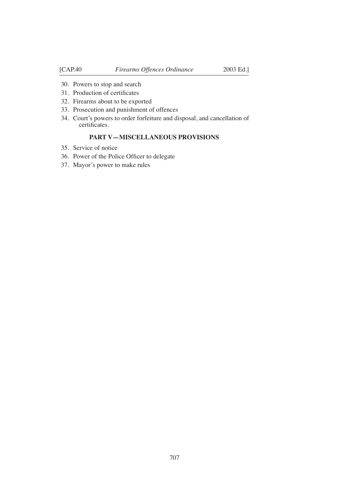- 30. Powers to stop and search
- . Production of certifcates
- 32. Firearms about to be exported
- 33. Prosecution and punishment of offences
- 34. Court's powers to order forfeiture and disposal, and cancellation of certificates.

### **PART V—MISCELLANEOUS PROVISIONS**

- 35. Service of notice
- 36. Power of the Police Officer to delegate
- 37. Mayor's power to make rules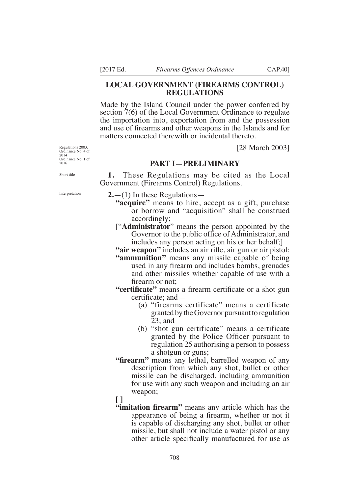### **LOCAL GOVERNMENT (FIREARMS CONTROL) REGULATIONS**

Made by the Island Council under the power conferred by section 7(6) of the Local Government Ordinance to regulate the importation into, exportation from and the possession and use of firearms and other weapons in the Islands and for matters connected therewith or incidental thereto.

[28 March 2003]

### **PART I—PRELIMINARY**

**1.** These Regulations may be cited as the Local Government (Firearms Control) Regulations.

**2.**—(1) In these Regulations—

- **"acquire"** means to hire, accept as a gift, purchase or borrow and "acquisition" shall be construed accordingly;
- ["**Administrator**" means the person appointed by the Governor to the public office of Administrator, and includes any person acting on his or her behalf;]

"air weapon" includes an air rifle, air gun or air pistol;

- **"ammunition"** means any missile capable of being used in any firearm and includes bombs, grenades and other missiles whether capable of use with a firearm or not;
- **"certificate"** means a firearm certificate or a shot gun certificate:  $and$ —
	- (a) "firearms certificate" means a certificate granted by the Governor pursuant to regulation 23; and
	- (b) "shot gun certificate" means a certificate granted by the Police Officer pursuant to regulation 25 authorising a person to possess a shotgun or guns;
- **"firearm"** means any lethal, barrelled weapon of any description from which any shot, bullet or other missile can be discharged, including ammunition for use with any such weapon and including an air weapon;
- **[ ]**
- **"imitation firearm"** means any article which has the appearance of being a firearm, whether or not it is capable of discharging any shot, bullet or other missile, but shall not include a water pistol or any other article specifically manufactured for use as

Regulations 2003, Ordinance No. 4 of 2014 Ordinance No. 1 of 2016

Short title

Interpretation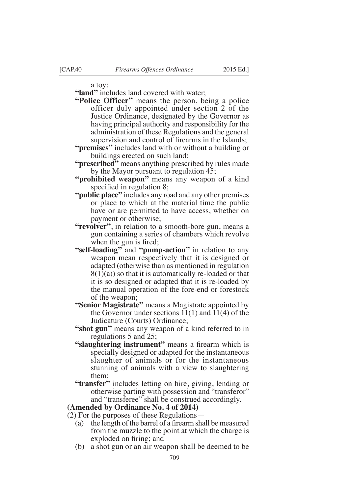a toy;

**"land"** includes land covered with water;

- **"Police Officer"** means the person, being a police officer duly appointed under section 2 of the Justice Ordinance, designated by the Governor as having principal authority and responsibility for the administration of these Regulations and the general supervision and control of firearms in the Islands;
- **"premises"** includes land with or without a building or buildings erected on such land;
- **"prescribed"** means anything prescribed by rules made by the Mayor pursuant to regulation 45;
- **"prohibited weapon"** means any weapon of a kind specified in regulation  $8$ ;
- **"public place"** includes any road and any other premises or place to which at the material time the public have or are permitted to have access, whether on payment or otherwise;
- **"revolver"**, in relation to a smooth-bore gun, means a gun containing a series of chambers which revolve when the gun is fired;
- **"self-loading"** and **"pump-action"** in relation to any weapon mean respectively that it is designed or adapted (otherwise than as mentioned in regulation  $8(1)(a)$  so that it is automatically re-loaded or that it is so designed or adapted that it is re-loaded by the manual operation of the fore-end or forestock of the weapon;
- **"Senior Magistrate"** means a Magistrate appointed by the Governor under sections  $11(1)$  and  $11(4)$  of the Judicature (Courts) Ordinance;
- **"shot gun"** means any weapon of a kind referred to in regulations 5 and 25;
- "slaughtering instrument" means a firearm which is specially designed or adapted for the instantaneous slaughter of animals or for the instantaneous stunning of animals with a view to slaughtering them;
- **"transfer"** includes letting on hire, giving, lending or otherwise parting with possession and "transferor" and "transferee" shall be construed accordingly.

#### **(Amended by Ordinance No. 4 of 2014)**

- (2) For the purposes of these Regulations—
	- (a) the length of the barrel of a firearm shall be measured from the muzzle to the point at which the charge is exploded on firing; and
	- (b) a shot gun or an air weapon shall be deemed to be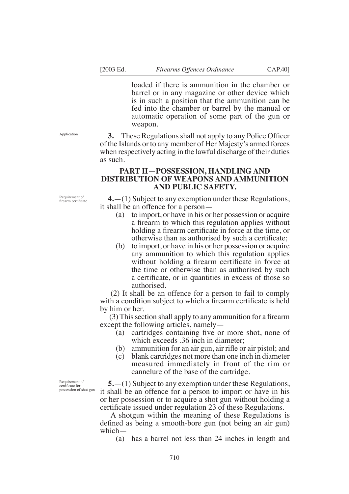loaded if there is ammunition in the chamber or barrel or in any magazine or other device which is in such a position that the ammunition can be fed into the chamber or barrel by the manual or automatic operation of some part of the gun or weapon.

**3.** These Regulations shall not apply to any Police Officer of the Islands or to any member of Her Majesty's armed forces when respectively acting in the lawful discharge of their duties as such.

### **PART II—POSSESSION, HANDLING AND DISTRIBUTION OF WEAPONS AND AMMUNITION AND PUBLIC SAFETY.**

Requirement of firearm certificate

Application

**4.**—(1) Subject to any exemption under these Regulations, it shall be an offence for a person—

- (a) to import, or have in his or her possession or acquire a firearm to which this regulation applies without holding a firearm certificate in force at the time, or otherwise than as authorised by such a certificate;
- (b) to import, or have in his or her possession or acquire any ammunition to which this regulation applies without holding a firearm certificate in force at the time or otherwise than as authorised by such a certificate, or in quantities in excess of those so authorised.

 (2) It shall be an offence for a person to fail to comply with a condition subject to which a firearm certificate is held by him or her.

 $(3)$  This section shall apply to any ammunition for a firearm except the following articles, namely—

- (a) cartridges containing five or more shot, none of which exceeds .36 inch in diameter;
- $(b)$  ammunition for an air gun, air rifle or air pistol; and
- (c) blank cartridges not more than one inch in diameter measured immediately in front of the rim or cannelure of the base of the cartridge.

Requirement of certifcate for possession of shot gun

**5.**—(1) Subject to any exemption under these Regulations, it shall be an offence for a person to import or have in his or her possession or to acquire a shot gun without holding a certificate issued under regulation 23 of these Regulations.

 A shotgun within the meaning of these Regulations is defined as being a smooth-bore gun (not being an air gun) which—

(a) has a barrel not less than 24 inches in length and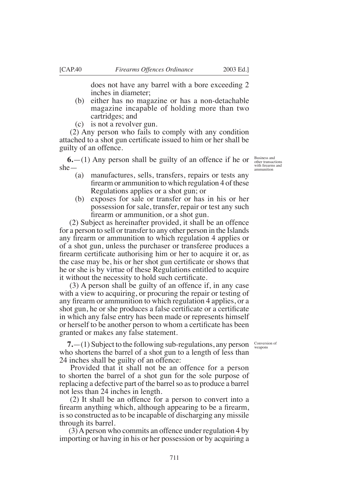does not have any barrel with a bore exceeding 2 inches in diameter;

- (b) either has no magazine or has a non-detachable magazine incapable of holding more than two cartridges; and
- (c) is not a revolver gun.

 (2) Any person who fails to comply with any condition attached to a shot gun certificate issued to him or her shall be guilty of an offence.

**6.**—(1) Any person shall be guilty of an offence if he or she—

- (a) manufactures, sells, transfers, repairs or tests any firearm or ammunition to which regulation 4 of these Regulations applies or a shot gun; or
- (b) exposes for sale or transfer or has in his or her possession for sale, transfer, repair or test any such firearm or ammunition, or a shot gun.

 (2) Subject as hereinafter provided, it shall be an offence for a person to sell or transfer to any other person in the Islands any firearm or ammunition to which regulation 4 applies or of a shot gun, unless the purchaser or transferee produces a firearm certificate authorising him or her to acquire it or, as the case may be, his or her shot gun certificate or shows that he or she is by virtue of these Regulations entitled to acquire it without the necessity to hold such certificate.

 (3) A person shall be guilty of an offence if, in any case with a view to acquiring, or procuring the repair or testing of any firearm or ammunition to which regulation 4 applies, or a shot gun, he or she produces a false certificate or a certificate in which any false entry has been made or represents himself or herself to be another person to whom a certificate has been granted or makes any false statement.

> Conversion of weapons

**7.**—(1) Subject to the following sub-regulations, any person who shortens the barrel of a shot gun to a length of less than 24 inches shall be guilty of an offence:

 Provided that it shall not be an offence for a person to shorten the barrel of a shot gun for the sole purpose of replacing a defective part of the barrel so as to produce a barrel not less than 24 inches in length.

 (2) It shall be an offence for a person to convert into a firearm anything which, although appearing to be a firearm, is so constructed as to be incapable of discharging any missile through its barrel.

 (3) A person who commits an offence under regulation 4 by importing or having in his or her possession or by acquiring a

Business and other transactions with firearms and<br>ammunition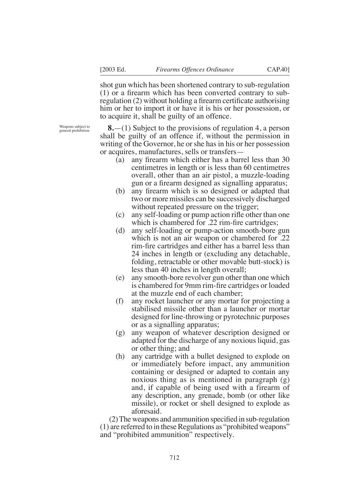shot gun which has been shortened contrary to sub-regulation  $(1)$  or a firearm which has been converted contrary to subregulation (2) without holding a firearm certificate authorising him or her to import it or have it is his or her possession, or to acquire it, shall be guilty of an offence.

Weapons subject to general prohibition

**8.**—(1) Subject to the provisions of regulation 4, a person shall be guilty of an offence if, without the permission in writing of the Governor, he or she has in his or her possession or acquires, manufactures, sells or transfers—

- (a) any firearm which either has a barrel less than  $30$ centimetres in length or is less than 60 centimetres overall, other than an air pistol, a muzzle-loading gun or a firearm designed as signalling apparatus;
- $(b)$  any firearm which is so designed or adapted that two or more missiles can be successively discharged without repeated pressure on the trigger;
- $(c)$  any self-loading or pump action rifle other than one which is chambered for  $.22$  rim-fire cartridges;
- (d) any self-loading or pump-action smooth-bore gun which is not an air weapon or chambered for .22 rim-fire cartridges and either has a barrel less than 24 inches in length or (excluding any detachable, folding, retractable or other movable butt-stock) is less than 40 inches in length overall;
- (e) any smooth-bore revolver gun other than one which is chambered for 9mm rim-fire cartridges or loaded at the muzzle end of each chamber;
- (f) any rocket launcher or any mortar for projecting a stabilised missile other than a launcher or mortar designed for line-throwing or pyrotechnic purposes or as a signalling apparatus;
- (g) any weapon of whatever description designed or adapted for the discharge of any noxious liquid, gas or other thing; and
- (h) any cartridge with a bullet designed to explode on or immediately before impact, any ammunition containing or designed or adapted to contain any noxious thing as is mentioned in paragraph (g) and, if capable of being used with a firearm of any description, any grenade, bomb (or other like missile), or rocket or shell designed to explode as aforesaid.

 $(2)$  The weapons and ammunition specified in sub-regulation (1) are referred to in these Regulations as "prohibited weapons" and "prohibited ammunition" respectively.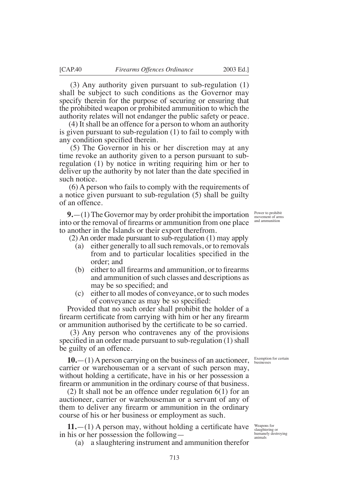(3) Any authority given pursuant to sub-regulation (1) shall be subject to such conditions as the Governor may specify therein for the purpose of securing or ensuring that the prohibited weapon or prohibited ammunition to which the authority relates will not endanger the public safety or peace.

 (4) It shall be an offence for a person to whom an authority is given pursuant to sub-regulation (1) to fail to comply with any condition specified therein.

 (5) The Governor in his or her discretion may at any time revoke an authority given to a person pursuant to subregulation (1) by notice in writing requiring him or her to deliver up the authority by not later than the date specified in such notice.

 (6) A person who fails to comply with the requirements of a notice given pursuant to sub-regulation (5) shall be guilty of an offence.

**9.**—(1) The Governor may by order prohibit the importation into or the removal of firearms or ammunition from one place to another in the Islands or their export therefrom.

(2) An order made pursuant to sub-regulation (1) may apply

- (a) either generally to all such removals, or to removals from and to particular localities specified in the order; and
- $(b)$  either to all firearms and ammunition, or to firearms and ammunition of such classes and descriptions as may be so specified; and
- (c) either to all modes of conveyance, or to such modes of conveyance as may be so specified:

Provided that no such order shall prohibit the holder of a firearm certificate from carrying with him or her any firearm or ammunition authorised by the certificate to be so carried.

 (3) Any person who contravenes any of the provisions specified in an order made pursuant to sub-regulation  $(1)$  shall be guilty of an offence.

**10.**—(1) A person carrying on the business of an auctioneer, carrier or warehouseman or a servant of such person may, without holding a certificate, have in his or her possession a firearm or ammunition in the ordinary course of that business.

(2) It shall not be an offence under regulation 6(1) for an auctioneer, carrier or warehouseman or a servant of any of them to deliver any firearm or ammunition in the ordinary course of his or her business or employment as such.

 $11.$ —(1) A person may, without holding a certificate have in his or her possession the following—

(a) a slaughtering instrument and ammunition therefor

Power to prohibit movement of arms and ammunition

Exemption for certain businesses

Weapons for slaughtering or humanely destroying animals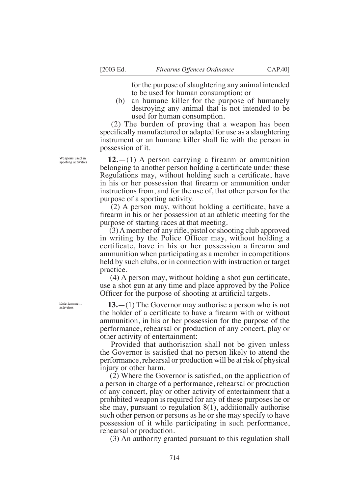for the purpose of slaughtering any animal intended to be used for human consumption; or

(b) an humane killer for the purpose of humanely destroying any animal that is not intended to be used for human consumption.

 (2) The burden of proving that a weapon has been specifically manufactured or adapted for use as a slaughtering instrument or an humane killer shall lie with the person in possession of it.

**12.**—(1) A person carrying a firearm or ammunition belonging to another person holding a certificate under these Regulations may, without holding such a certificate, have in his or her possession that firearm or ammunition under instructions from, and for the use of, that other person for the purpose of a sporting activity.

 $(2)$  A person may, without holding a certificate, have a firearm in his or her possession at an athletic meeting for the purpose of starting races at that meeting.

 $(3)$  A member of any rifle, pistol or shooting club approved in writing by the Police Officer may, without holding a certificate, have in his or her possession a firearm and ammunition when participating as a member in competitions held by such clubs, or in connection with instruction or target practice.

 $(4)$  A person may, without holding a shot gun certificate, use a shot gun at any time and place approved by the Police Officer for the purpose of shooting at artificial targets.

**13.**—(1) The Governor may authorise a person who is not the holder of a certificate to have a firearm with or without ammunition, in his or her possession for the purpose of the performance, rehearsal or production of any concert, play or other activity of entertainment:

 Provided that authorisation shall not be given unless the Governor is satisfied that no person likely to attend the performance, rehearsal or production will be at risk of physical injury or other harm.

 $(2)$  Where the Governor is satisfied, on the application of a person in charge of a performance, rehearsal or production of any concert, play or other activity of entertainment that a prohibited weapon is required for any of these purposes he or she may, pursuant to regulation 8(1), additionally authorise such other person or persons as he or she may specify to have possession of it while participating in such performance, rehearsal or production.

(3) An authority granted pursuant to this regulation shall

Weapons used in sporting activities

Entertainment activities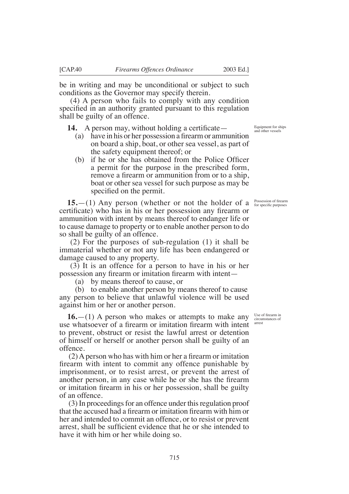be in writing and may be unconditional or subject to such conditions as the Governor may specify therein.

 (4) A person who fails to comply with any condition specified in an authority granted pursuant to this regulation shall be guilty of an offence.

**14.** A person may, without holding a certificate—

- (a) have in his or her possession a firearm or ammunition on board a ship, boat, or other sea vessel, as part of the safety equipment thereof; or
- $(b)$  if he or she has obtained from the Police Officer a permit for the purpose in the prescribed form, remove a firearm or ammunition from or to a ship, boat or other sea vessel for such purpose as may be specified on the permit.

**15.**—(1) Any person (whether or not the holder of a certificate) who has in his or her possession any firearm or ammunition with intent by means thereof to endanger life or to cause damage to property or to enable another person to do so shall be guilty of an offence.

 (2) For the purposes of sub-regulation (1) it shall be immaterial whether or not any life has been endangered or damage caused to any property.

 (3) It is an offence for a person to have in his or her possession any firearm or imitation firearm with intent—

(a) by means thereof to cause, or

(b) to enable another person by means thereof to cause any person to believe that unlawful violence will be used against him or her or another person.

**16.**—(1) A person who makes or attempts to make any use whatsoever of a firearm or imitation firearm with intent to prevent, obstruct or resist the lawful arrest or detention of himself or herself or another person shall be guilty of an offence.

 $(2)$  A person who has with him or her a firearm or imitation firearm with intent to commit any offence punishable by imprisonment, or to resist arrest, or prevent the arrest of another person, in any case while he or she has the firearm or imitation firearm in his or her possession, shall be guilty of an offence.

 (3) In proceedings for an offence under this regulation proof that the accused had a firearm or imitation firearm with him or her and intended to commit an offence, or to resist or prevent arrest, shall be sufficient evidence that he or she intended to have it with him or her while doing so.

Equipment for ships and other vessels

Possession of firearm for specifc purposes

Hse of firearm in circumstances of arrest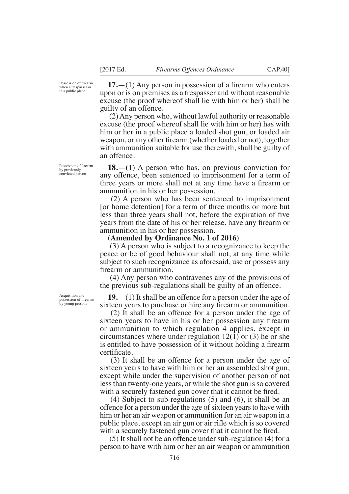Possession of firearm when a trespasser or in a public place

 $17.$ —(1) Any person in possession of a firearm who enters upon or is on premises as a trespasser and without reasonable excuse (the proof whereof shall lie with him or her) shall be guilty of an offence.

 (2) Any person who, without lawful authority or reasonable excuse (the proof whereof shall lie with him or her) has with him or her in a public place a loaded shot gun, or loaded air weapon, or any other firearm (whether loaded or not), together with ammunition suitable for use therewith, shall be guilty of an offence.

**18.**—(1) A person who has, on previous conviction for any offence, been sentenced to imprisonment for a term of three years or more shall not at any time have a firearm or ammunition in his or her possession.

 (2) A person who has been sentenced to imprisonment [or home detention] for a term of three months or more but less than three years shall not, before the expiration of five years from the date of his or her release, have any firearm or ammunition in his or her possession.

#### **(Amended by Ordinance No. 1 of 2016)**

 (3) A person who is subject to a recognizance to keep the peace or be of good behaviour shall not, at any time while subject to such recognizance as aforesaid, use or possess any firearm or ammunition.

 (4) Any person who contravenes any of the provisions of the previous sub-regulations shall be guilty of an offence.

**19.**—(1) It shall be an offence for a person under the age of sixteen years to purchase or hire any firearm or ammunition.

 (2) It shall be an offence for a person under the age of sixteen years to have in his or her possession any firearm or ammunition to which regulation 4 applies, except in circumstances where under regulation  $12(1)$  or (3) he or she is entitled to have possession of it without holding a firearm certificate.

 (3) It shall be an offence for a person under the age of sixteen years to have with him or her an assembled shot gun, except while under the supervision of another person of not less than twenty-one years, or while the shot gun is so covered with a securely fastened gun cover that it cannot be fired.

 (4) Subject to sub-regulations (5) and (6), it shall be an offence for a person under the age of sixteen years to have with him or her an air weapon or ammunition for an air weapon in a public place, except an air gun or air rifle which is so covered with a securely fastened gun cover that it cannot be fired.

 (5) It shall not be an offence under sub-regulation (4) for a person to have with him or her an air weapon or ammunition

Possession of firearm by previously convicted person

Acquisition and possession of firearms<br>by young persons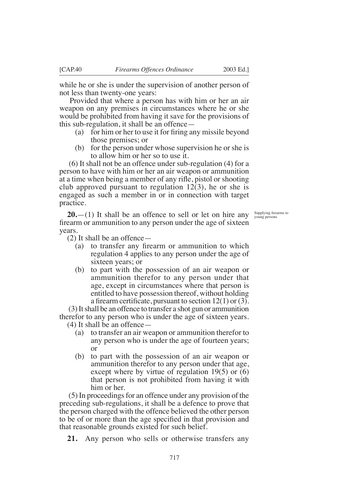while he or she is under the supervision of another person of not less than twenty-one years:

 Provided that where a person has with him or her an air weapon on any premises in circumstances where he or she would be prohibited from having it save for the provisions of this sub-regulation, it shall be an offence—

- (a) for him or her to use it for firing any missile beyond those premises; or
- (b) for the person under whose supervision he or she is to allow him or her so to use it.

 (6) It shall not be an offence under sub-regulation (4) for a person to have with him or her an air weapon or ammunition at a time when being a member of any rifle, pistol or shooting club approved pursuant to regulation 12(3), he or she is engaged as such a member in or in connection with target practice.

Supplying firearms to<br>young persons

**20.**—(1) It shall be an offence to sell or let on hire any firearm or ammunition to any person under the age of sixteen years.

(2) It shall be an offence—

- (a) to transfer any firearm or ammunition to which regulation 4 applies to any person under the age of sixteen years; or
- (b) to part with the possession of an air weapon or ammunition therefor to any person under that age, except in circumstances where that person is entitled to have possession thereof, without holding a firearm certificate, pursuant to section  $12(1)$  or (3).

 (3) It shall be an offence to transfer a shot gun or ammunition therefor to any person who is under the age of sixteen years.

(4) It shall be an offence—

- (a) to transfer an air weapon or ammunition therefor to any person who is under the age of fourteen years; or
- (b) to part with the possession of an air weapon or ammunition therefor to any person under that age, except where by virtue of regulation 19(5) or (6) that person is not prohibited from having it with him or her.

 (5) In proceedings for an offence under any provision of the preceding sub-regulations, it shall be a defence to prove that the person charged with the offence believed the other person to be of or more than the age specified in that provision and that reasonable grounds existed for such belief.

**21.** Any person who sells or otherwise transfers any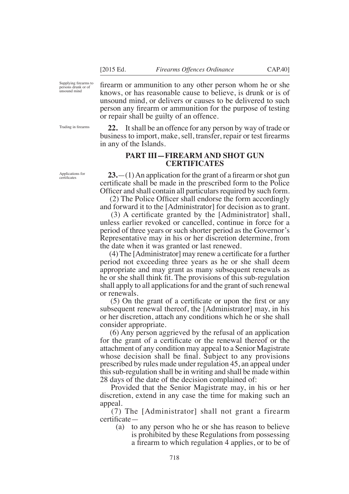frearm or ammunition to any other person whom he or she knows, or has reasonable cause to believe, is drunk or is of unsound mind, or delivers or causes to be delivered to such person any firearm or ammunition for the purpose of testing or repair shall be guilty of an offence.

**22.** It shall be an offence for any person by way of trade or business to import, make, sell, transfer, repair or test firearms in any of the Islands.

### **PART III—FIREARM AND SHOT GUN CERTIFICATES**

 $23$ —(1) An application for the grant of a firearm or shot gun certificate shall be made in the prescribed form to the Police Officer and shall contain all particulars required by such form.

 $(2)$  The Police Officer shall endorse the form accordingly and forward it to the [Administrator] for decision as to grant.

 $(3)$  A certificate granted by the [Administrator] shall, unless earlier revoked or cancelled, continue in force for a period of three years or such shorter period as the Governor's Representative may in his or her discretion determine, from the date when it was granted or last renewed.

 $(4)$  The [Administrator] may renew a certificate for a further period not exceeding three years as he or she shall deem appropriate and may grant as many subsequent renewals as he or she shall think fit. The provisions of this sub-regulation shall apply to all applications for and the grant of such renewal or renewals.

 $(5)$  On the grant of a certificate or upon the first or any subsequent renewal thereof, the [Administrator] may, in his or her discretion, attach any conditions which he or she shall consider appropriate.

 (6) Any person aggrieved by the refusal of an application for the grant of a certificate or the renewal thereof or the attachment of any condition may appeal to a Senior Magistrate whose decision shall be final. Subject to any provisions prescribed by rules made under regulation 45, an appeal under this sub-regulation shall be in writing and shall be made within 28 days of the date of the decision complained of:

 Provided that the Senior Magistrate may, in his or her discretion, extend in any case the time for making such an appeal.

 (7) The [Administrator] shall not grant a firearm certificate-

(a) to any person who he or she has reason to believe is prohibited by these Regulations from possessing a firearm to which regulation 4 applies, or to be of

Trading in firearms

Applications for certifcates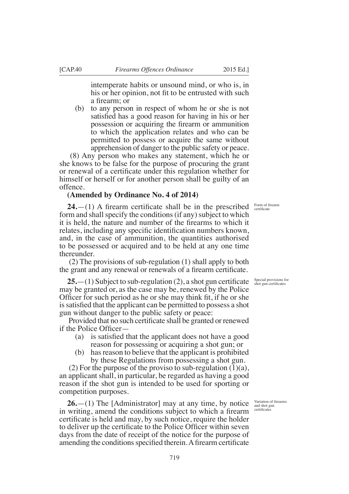intemperate habits or unsound mind, or who is, in his or her opinion, not fit to be entrusted with such a firearm: or

(b) to any person in respect of whom he or she is not satisfied has a good reason for having in his or her possession or acquiring the firearm or ammunition to which the application relates and who can be permitted to possess or acquire the same without apprehension of danger to the public safety or peace.

 (8) Any person who makes any statement, which he or she knows to be false for the purpose of procuring the grant or renewal of a certificate under this regulation whether for himself or herself or for another person shall be guilty of an offence.

### **(Amended by Ordinance No. 4 of 2014)**

 $24.$ —(1) A firearm certificate shall be in the prescribed form and shall specify the conditions (if any) subject to which it is held, the nature and number of the firearms to which it relates, including any specific identification numbers known, and, in the case of ammunition, the quantities authorised to be possessed or acquired and to be held at any one time thereunder.

 (2) The provisions of sub-regulation (1) shall apply to both the grant and any renewal or renewals of a firearm certificate.

 $25 - (1)$  Subject to sub-regulation (2), a shot gun certificate may be granted or, as the case may be, renewed by the Police Officer for such period as he or she may think fit, if he or she is satisfied that the applicant can be permitted to possess a shot gun without danger to the public safety or peace:

Provided that no such certificate shall be granted or renewed if the Police Officer—

- (a) is satisfied that the applicant does not have a good reason for possessing or acquiring a shot gun; or
- (b) has reason to believe that the applicant is prohibited by these Regulations from possessing a shot gun.

(2) For the purpose of the proviso to sub-regulation  $(1)(a)$ , an applicant shall, in particular, be regarded as having a good reason if the shot gun is intended to be used for sporting or competition purposes.

**26.**—(1) The [Administrator] may at any time, by notice in writing, amend the conditions subject to which a firearm certificate is held and may, by such notice, require the holder to deliver up the certificate to the Police Officer within seven days from the date of receipt of the notice for the purpose of amending the conditions specified therein. A firearm certificate

Form of firearm<br>certificate

Special provisions for<br>shot gun certificates

Variation of firearms and shot gun certificate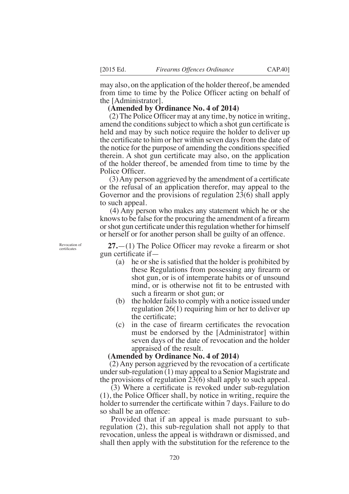may also, on the application of the holder thereof, be amended from time to time by the Police Officer acting on behalf of the [Administrator].

### **(Amended by Ordinance No. 4 of 2014)**

 $(2)$  The Police Officer may at any time, by notice in writing, amend the conditions subject to which a shot gun certificate is held and may by such notice require the holder to deliver up the certificate to him or her within seven days from the date of the notice for the purpose of amending the conditions specified therein. A shot gun certificate may also, on the application of the holder thereof, be amended from time to time by the Police Officer.

 $(3)$  Any person aggrieved by the amendment of a certificate or the refusal of an application therefor, may appeal to the Governor and the provisions of regulation 23(6) shall apply to such appeal.

 (4) Any person who makes any statement which he or she knows to be false for the procuring the amendment of a firearm or shot gun certificate under this regulation whether for himself or herself or for another person shall be guilty of an offence.

Revocation of certifcates

 $27.$ —(1) The Police Officer may revoke a firearm or shot gun certificate if  $-$ 

- (a) he or she is satisfied that the holder is prohibited by these Regulations from possessing any firearm or shot gun, or is of intemperate habits or of unsound mind, or is otherwise not fit to be entrusted with such a firearm or shot gun; or
- (b) the holder fails to comply with a notice issued under regulation 26(1) requiring him or her to deliver up the certificate:
- $(c)$  in the case of firearm certificates the revocation must be endorsed by the [Administrator] within seven days of the date of revocation and the holder appraised of the result.

#### **(Amended by Ordinance No. 4 of 2014)**

 $(2)$  Any person aggrieved by the revocation of a certificate under sub-regulation (1) may appeal to a Senior Magistrate and the provisions of regulation 23(6) shall apply to such appeal.

 $(3)$  Where a certificate is revoked under sub-regulation  $(1)$ , the Police Officer shall, by notice in writing, require the holder to surrender the certificate within 7 days. Failure to do so shall be an offence:

 Provided that if an appeal is made pursuant to subregulation (2), this sub-regulation shall not apply to that revocation, unless the appeal is withdrawn or dismissed, and shall then apply with the substitution for the reference to the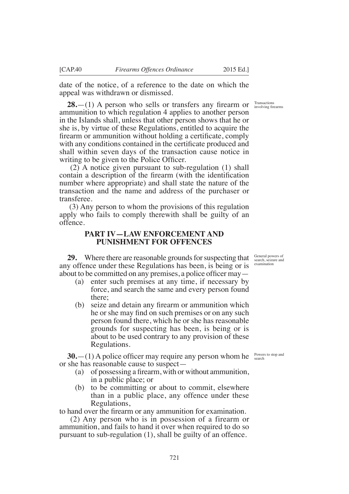date of the notice, of a reference to the date on which the appeal was withdrawn or dismissed.

 $28$ —(1) A person who sells or transfers any firearm or ammunition to which regulation 4 applies to another person in the Islands shall, unless that other person shows that he or she is, by virtue of these Regulations, entitled to acquire the firearm or ammunition without holding a certificate, comply with any conditions contained in the certificate produced and shall within seven days of the transaction cause notice in writing to be given to the Police Officer.

 (2) A notice given pursuant to sub-regulation (1) shall contain a description of the firearm (with the identification number where appropriate) and shall state the nature of the transaction and the name and address of the purchaser or transferee.

 (3) Any person to whom the provisions of this regulation apply who fails to comply therewith shall be guilty of an offence.

### **PART IV—LAW ENFORCEMENT AND PUNISHMENT FOR OFFENCES**

**29.** Where there are reasonable grounds for suspecting that any offence under these Regulations has been, is being or is about to be committed on any premises, a police officer may —

- (a) enter such premises at any time, if necessary by force, and search the same and every person found there;
- $(b)$  seize and detain any firearm or ammunition which he or she may find on such premises or on any such person found there, which he or she has reasonable grounds for suspecting has been, is being or is about to be used contrary to any provision of these Regulations.

**30.**—(1) A police officer may require any person whom he  $\frac{P_{\text{owers to stop and}}}{\text{search}}$ or she has reasonable cause to suspect—

- (a) of possessing a firearm, with or without ammunition, in a public place; or
- (b) to be committing or about to commit, elsewhere than in a public place, any offence under these Regulations,

to hand over the firearm or any ammunition for examination.

 (2) Any person who is in possession of a firearm or ammunition, and fails to hand it over when required to do so pursuant to sub-regulation (1), shall be guilty of an offence.

Transactions<br>involving firearms

General powers of search, seizure and examination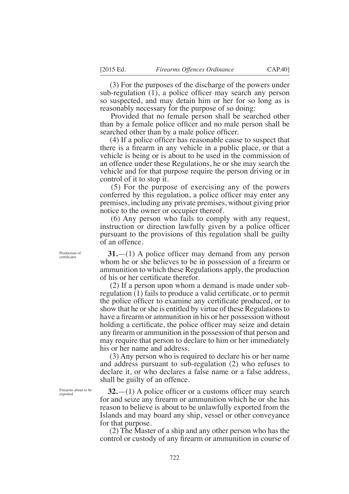(3) For the purposes of the discharge of the powers under sub-regulation  $(1)$ , a police officer may search any person so suspected, and may detain him or her for so long as is reasonably necessary for the purpose of so doing:

 Provided that no female person shall be searched other than by a female police officer and no male person shall be searched other than by a male police officer.

 $(4)$  If a police officer has reasonable cause to suspect that there is a firearm in any vehicle in a public place, or that a vehicle is being or is about to be used in the commission of an offence under these Regulations, he or she may search the vehicle and for that purpose require the person driving or in control of it to stop it.

 (5) For the purpose of exercising any of the powers conferred by this regulation, a police officer may enter any premises, including any private premises, without giving prior notice to the owner or occupier thereof.

 (6) Any person who fails to comply with any request, instruction or direction lawfully given by a police officer pursuant to the provisions of this regulation shall be guilty of an offence.

**31.** $-(1)$  A police officer may demand from any person whom he or she believes to be in possession of a firearm or ammunition to which these Regulations apply, the production of his or her certificate therefor.

 (2) If a person upon whom a demand is made under subregulation (1) fails to produce a valid certificate, or to permit the police officer to examine any certificate produced, or to show that he or she is entitled by virtue of these Regulations to have a firearm or ammunition in his or her possession without holding a certificate, the police officer may seize and detain any firearm or ammunition in the possession of that person and may require that person to declare to him or her immediately his or her name and address.

 (3) Any person who is required to declare his or her name and address pursuant to sub-regulation (2) who refuses to declare it, or who declares a false name or a false address, shall be guilty of an offence.

 $32$ —(1) A police officer or a customs officer may search for and seize any firearm or ammunition which he or she has reason to believe is about to be unlawfully exported from the Islands and may board any ship, vessel or other conveyance for that purpose.

 (2) The Master of a ship and any other person who has the control or custody of any firearm or ammunition in course of

Production of certificate

Firearms about to be exported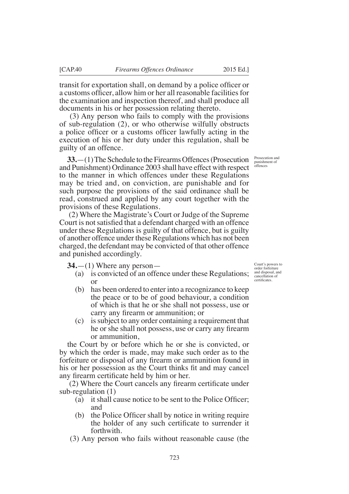transit for exportation shall, on demand by a police officer or a customs officer, allow him or her all reasonable facilities for the examination and inspection thereof, and shall produce all

documents in his or her possession relating thereto. (3) Any person who fails to comply with the provisions of sub-regulation (2), or who otherwise wilfully obstructs a police officer or a customs officer lawfully acting in the execution of his or her duty under this regulation, shall be guilty of an offence.

**33.**—(1) The Schedule to the Firearms Offences (Prosecution and Punishment) Ordinance 2003 shall have effect with respect to the manner in which offences under these Regulations may be tried and, on conviction, are punishable and for such purpose the provisions of the said ordinance shall be read, construed and applied by any court together with the provisions of these Regulations.

 (2) Where the Magistrate's Court or Judge of the Supreme Court is not satisfied that a defendant charged with an offence under these Regulations is guilty of that offence, but is guilty of another offence under these Regulations which has not been charged, the defendant may be convicted of that other offence and punished accordingly.

**34.**—(1) Where any person—

- (a) is convicted of an offence under these Regulations; or
- (b) has been ordered to enter into a recognizance to keep the peace or to be of good behaviour, a condition of which is that he or she shall not possess, use or carry any firearm or ammunition; or
- (c) is subject to any order containing a requirement that he or she shall not possess, use or carry any firearm or ammunition,

the Court by or before which he or she is convicted, or by which the order is made, may make such order as to the forfeiture or disposal of any firearm or ammunition found in his or her possession as the Court thinks fit and may cancel any firearm certificate held by him or her.

 $(2)$  Where the Court cancels any firearm certificate under sub-regulation (1)

- (a) it shall cause notice to be sent to the Police Officer; and
- (b) the Police Officer shall by notice in writing require the holder of any such certificate to surrender it forthwith.
- (3) Any person who fails without reasonable cause (the

Court's powers to order forfeiture and disposal, and cancellation of certifcates.

Prosecution and punishment of offences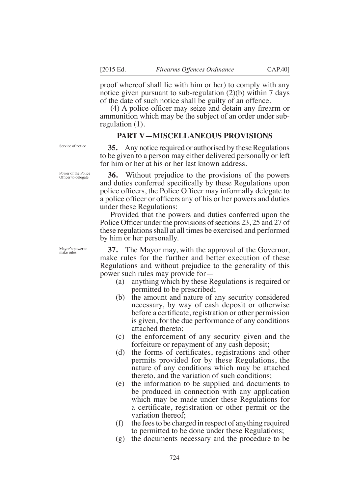proof whereof shall lie with him or her) to comply with any notice given pursuant to sub-regulation (2)(b) within 7 days of the date of such notice shall be guilty of an offence.

 $(4)$  A police officer may seize and detain any firearm or ammunition which may be the subject of an order under subregulation (1).

### **PART V—MISCELLANEOUS PROVISIONS**

**35.** Any notice required or authorised by these Regulations to be given to a person may either delivered personally or left for him or her at his or her last known address.

**36.** Without prejudice to the provisions of the powers and duties conferred specifically by these Regulations upon police officers, the Police Officer may informally delegate to a police officer or officers any of his or her powers and duties under these Regulations:

 Provided that the powers and duties conferred upon the Police Officer under the provisions of sections 23, 25 and 27 of these regulations shall at all times be exercised and performed by him or her personally.

Mayor's power to make rules

**37.** The Mayor may, with the approval of the Governor, make rules for the further and better execution of these Regulations and without prejudice to the generality of this power such rules may provide for—

- (a) anything which by these Regulations is required or permitted to be prescribed;
- (b) the amount and nature of any security considered necessary, by way of cash deposit or otherwise before a certificate, registration or other permission is given, for the due performance of any conditions attached thereto;
- (c) the enforcement of any security given and the forfeiture or repayment of any cash deposit;
- $(d)$  the forms of certificates, registrations and other permits provided for by these Regulations, the nature of any conditions which may be attached thereto, and the variation of such conditions;
- (e) the information to be supplied and documents to be produced in connection with any application which may be made under these Regulations for a certificate, registration or other permit or the variation thereof;
- (f) the fees to be charged in respect of anything required to permitted to be done under these Regulations;
- (g) the documents necessary and the procedure to be

Service of notice

Power of the Police Officer to delegate